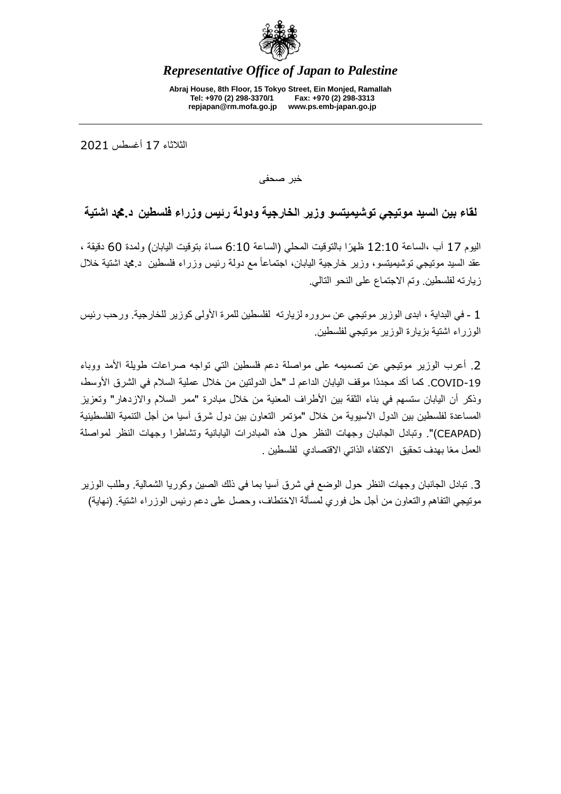

## *Representative Office of Japan to Palestine*

**Abraj House, 8th Floor, 15 Tokyo Street, Ein Monjed, Ramallah Tel: +970 (2) 298-3370/1 Fax: +970 (2) 298-3313 repjapan@rm.mofa.go.jp www.ps.emb-japan.go.jp**

الثالثاء 71 أغسطس 0207

خبر صحفى

## **لقاء بين السيد موتيجي توشيميتسو وزير الخارجية ودولة رئيس وزراء فلسطين د.دمحم اشتية**

اليوم 17 آب ،الساعة 12:10 ظهرًا بالتوقيت المحلي (الساعة 6:10 مساءً بتوقيت اليابان) ولمدة 60 دقيقة ، عقد السيد موتيجي توشيميتسو، وزير خارجية اليابان، اجتماعاً مع دولة رئيس وزراء فلسطين د.دمحم اشتية خالل زيارته لفلسطين. وتم االجتماع على النحو التالي.

7 - في البداية ، ابدى الوزير موتيجي عن سروره لزيارته لفلسطين للمرة األولى كوزير للخارجية. ورحب رئيس الوزراء اشتية بزيارة الوزير موتيجي لفلسطين.

2. أعرب الوزير موتيجي عن تصميمه على مواصلة دعم فلسطين التي تواجه صراعات طويلة الأمد ووباء -19COVID. كما أكد مجدًدا موقف اليابان الداعم لـ "حل الدولتين من خالل عملية السالم في الشرق األوسط، وذكر أن اليابان ستسهم في بناء الثقة بين الأطراف المعنية من خلال مبادرة "ممر السلام والازدهار" وتعزيز المساعدة لفلسطين بين الدول اآلسيوية من خالل "مؤتمر التعاون بين دول شرق آسيا من أجل التنمية الفلسطينية )CEAPAD"). وتبادل الجانبان وجهات النظر حول هذه المبادرات اليابانية وتشاطرا وجهات النظر لمواصلة العمل معًا بهدف تحقيق االكتفاء الذاتي االقتصادي لفلسطين .

.3 تبادل الجانبان وجهات النظر حول الوضع في شرق آسيا بما في ذلك الصين وكوريا الشمالية. وطلب الوزير موتيجي التفاهم والتعاون من أجل حل فوري لمسألة الاختطاف، وحصل على دعم رئيس الوزراء اشتية. (نهاية)